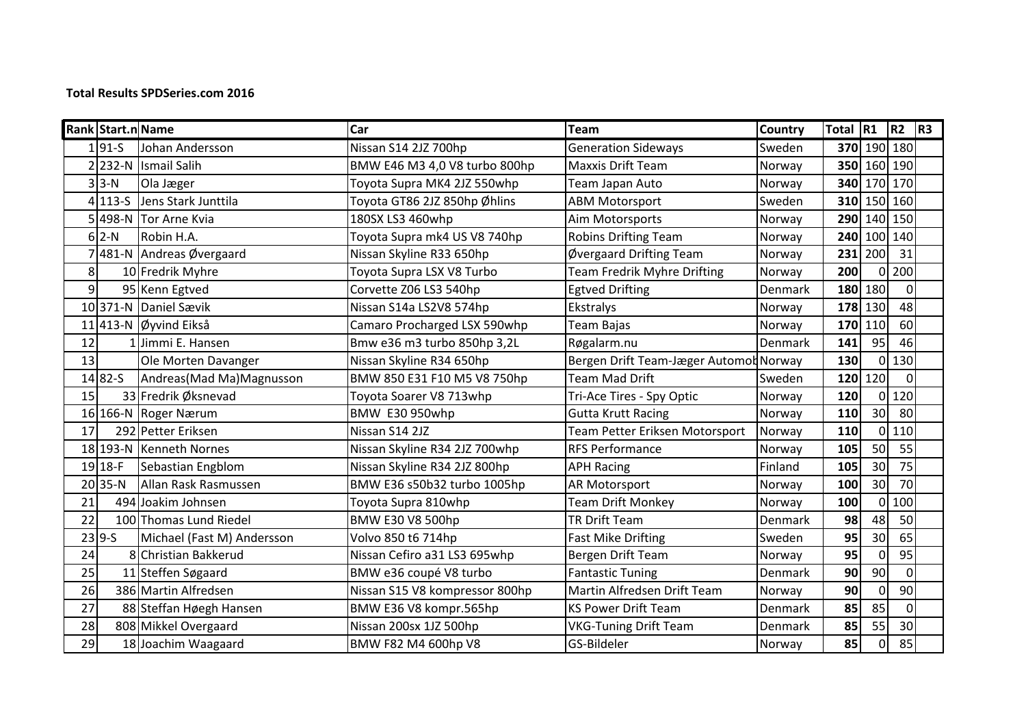## **Total Results SPDSeries.com 2016**

|                | Rank Start.n Name |                            | Car                            | Team                                   | Country | Total R1 |                 | $ R2 $ $ R3 $ |  |
|----------------|-------------------|----------------------------|--------------------------------|----------------------------------------|---------|----------|-----------------|---------------|--|
|                | $1 91-S$          | Johan Andersson            | Nissan S14 2JZ 700hp           | <b>Generation Sideways</b>             | Sweden  |          | 370 190 180     |               |  |
|                | $2$   232-N       | <b>Ismail Salih</b>        | BMW E46 M3 4,0 V8 turbo 800hp  | <b>Maxxis Drift Team</b>               | Norway  |          | 350 160 190     |               |  |
|                | $3$ 3-N           | Ola Jæger                  | Toyota Supra MK4 2JZ 550whp    | Team Japan Auto                        | Norway  |          |                 | 340 170 170   |  |
|                | $4 113-5$         | Jens Stark Junttila        | Toyota GT86 2JZ 850hp Øhlins   | <b>ABM Motorsport</b>                  | Sweden  |          | 310 150 160     |               |  |
|                | $5 498-N$         | Tor Arne Kvia              | 180SX LS3 460whp               | Aim Motorsports                        | Norway  |          | 290 140 150     |               |  |
|                | $6$   2-N         | Robin H.A.                 | Toyota Supra mk4 US V8 740hp   | <b>Robins Drifting Team</b>            | Norway  |          | 240 100         | 140           |  |
|                |                   | 7481-N Andreas Øvergaard   | Nissan Skyline R33 650hp       | Øvergaard Drifting Team                | Norway  | 231      | 200             | 31            |  |
| 8 <sup>1</sup> |                   | 10 Fredrik Myhre           | Toyota Supra LSX V8 Turbo      | <b>Team Fredrik Myhre Drifting</b>     | Norway  | 200      | O               | 200           |  |
| $\overline{9}$ |                   | 95 Kenn Egtved             | Corvette Z06 LS3 540hp         | <b>Egtved Drifting</b>                 | Denmark |          | 180 180         | $\Omega$      |  |
|                |                   | 10 371-N Daniel Sævik      | Nissan S14a LS2V8 574hp        | Ekstralys                              | Norway  |          | 178 130         | 48            |  |
|                |                   | 11 413-N Øyvind Eikså      | Camaro Procharged LSX 590whp   | Team Bajas                             | Norway  | 170      | 110             | 60            |  |
| 12             |                   | Jimmi E. Hansen            | Bmw e36 m3 turbo 850hp 3,2L    | Røgalarm.nu                            | Denmark | 141      | 95              | 46            |  |
| 13             |                   | Ole Morten Davanger        | Nissan Skyline R34 650hp       | Bergen Drift Team-Jæger Automot Norway |         | 130      | 0               | 130           |  |
|                | 1482-S            | Andreas(Mad Ma)Magnusson   | BMW 850 E31 F10 M5 V8 750hp    | <b>Team Mad Drift</b>                  | Sweden  | 120      | 120             |               |  |
| 15             |                   | 33 Fredrik Øksnevad        | Toyota Soarer V8 713whp        | Tri-Ace Tires - Spy Optic              | Norway  | 120      | 0               | 120           |  |
|                |                   | 16 166-N Roger Nærum       | <b>BMW E30 950whp</b>          | <b>Gutta Krutt Racing</b>              | Norway  | 110      | 30 <sup>1</sup> | 80            |  |
| 17             |                   | 292 Petter Eriksen         | Nissan S14 2JZ                 | Team Petter Eriksen Motorsport         | Norway  | 110      | $\Omega$        | 110           |  |
|                |                   | 18 193-N Kenneth Nornes    | Nissan Skyline R34 2JZ 700whp  | <b>RFS Performance</b>                 | Norway  | 105      | 50              | 55            |  |
|                | $19$ 18-F         | Sebastian Engblom          | Nissan Skyline R34 2JZ 800hp   | <b>APH Racing</b>                      | Finland | 105      | 30 <sup>1</sup> | 75            |  |
|                | $20$ 35-N         | Allan Rask Rasmussen       | BMW E36 s50b32 turbo 1005hp    | AR Motorsport                          | Norway  | 100      | 30 <sup>1</sup> | 70            |  |
| 21             |                   | 494 Joakim Johnsen         | Toyota Supra 810whp            | <b>Team Drift Monkey</b>               | Norway  | 100      | $\Omega$        | 100           |  |
| 22             |                   | 100 Thomas Lund Riedel     | BMW E30 V8 500hp               | <b>TR Drift Team</b>                   | Denmark | 98       | 48              | 50            |  |
|                | $23 9-S$          | Michael (Fast M) Andersson | Volvo 850 t6 714hp             | <b>Fast Mike Drifting</b>              | Sweden  | 95       | 30 <sup>1</sup> | 65            |  |
| 24             |                   | 8 Christian Bakkerud       | Nissan Cefiro a31 LS3 695whp   | Bergen Drift Team                      | Norway  | 95       | $\Omega$        | 95            |  |
| 25             |                   | 11 Steffen Søgaard         | BMW e36 coupé V8 turbo         | <b>Fantastic Tuning</b>                | Denmark | 90       | 90 <sub>0</sub> | $\Omega$      |  |
| 26             |                   | 386 Martin Alfredsen       | Nissan S15 V8 kompressor 800hp | Martin Alfredsen Drift Team            | Norway  | 90       | $\mathbf 0$     | 90            |  |
| 27             |                   | 88 Steffan Høegh Hansen    | BMW E36 V8 kompr.565hp         | <b>KS Power Drift Team</b>             | Denmark | 85       | 85              | 0             |  |
| 28             |                   | 808 Mikkel Overgaard       | Nissan 200sx 1JZ 500hp         | <b>VKG-Tuning Drift Team</b>           | Denmark | 85       | 55              | 30            |  |
| 29             |                   | 18 Joachim Waagaard        | BMW F82 M4 600hp V8            | GS-Bildeler                            | Norway  | 85       | $\mathbf 0$     | 85            |  |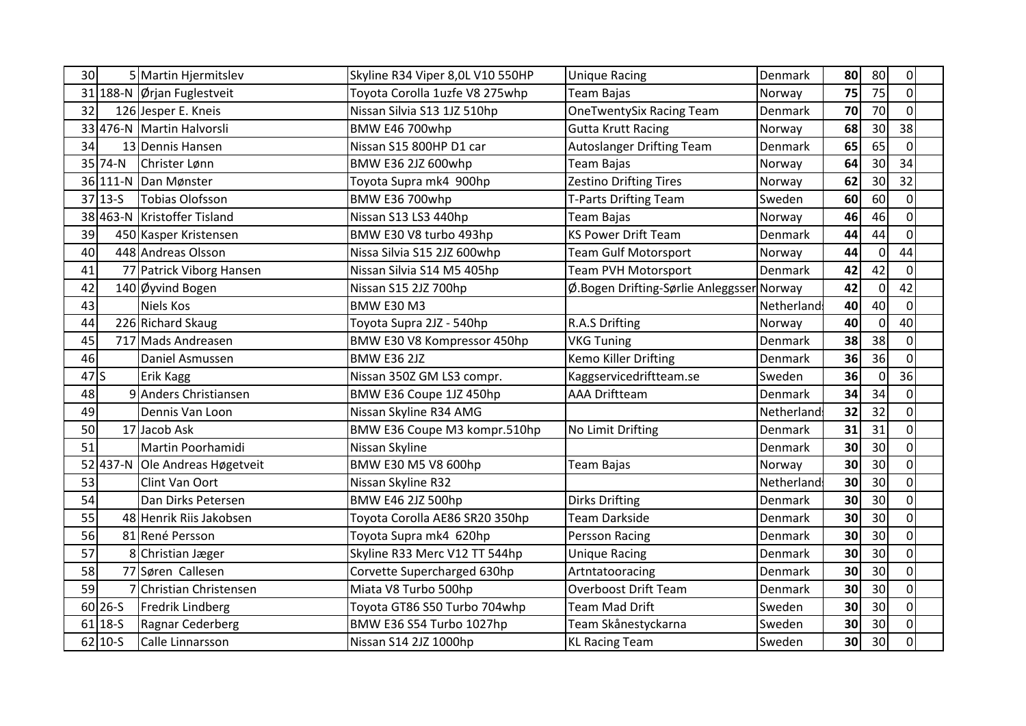| 30 <sub>1</sub> |             | 5 Martin Hjermitslev           | Skyline R34 Viper 8,0L V10 550HP | <b>Unique Racing</b>                      | Denmark    | 80 | 80              | $\overline{0}$ |
|-----------------|-------------|--------------------------------|----------------------------------|-------------------------------------------|------------|----|-----------------|----------------|
|                 |             | 31 188-N Ørjan Fuglestveit     | Toyota Corolla 1uzfe V8 275whp   | <b>Team Bajas</b>                         | Norway     | 75 | $\overline{75}$ | $\Omega$       |
| 32              |             | 126 Jesper E. Kneis            | Nissan Silvia S13 1JZ 510hp      | <b>OneTwentySix Racing Team</b>           | Denmark    | 70 | 70              | $\Omega$       |
|                 |             | 33 476-N Martin Halvorsli      | BMW E46 700whp                   | <b>Gutta Krutt Racing</b>                 | Norway     | 68 | 30              | 38             |
| 34              |             | 13 Dennis Hansen               | Nissan S15 800HP D1 car          | <b>Autoslanger Drifting Team</b>          | Denmark    | 65 | 65              | $\Omega$       |
|                 | 35 74-N     | Christer Lønn                  | BMW E36 2JZ 600whp               | <b>Team Bajas</b>                         | Norway     | 64 | 30              | 34             |
|                 |             | 36 111-N Dan Mønster           | Toyota Supra mk4 900hp           | <b>Zestino Drifting Tires</b>             | Norway     | 62 | 30              | 32             |
|                 | $37 13-5$   | Tobias Olofsson                | <b>BMW E36 700whp</b>            | <b>T-Parts Drifting Team</b>              | Sweden     | 60 | 60              | $\Omega$       |
|                 |             | 38 463-N Kristoffer Tisland    | Nissan S13 LS3 440hp             | <b>Team Bajas</b>                         | Norway     | 46 | 46              | $\Omega$       |
| 39              |             | 450 Kasper Kristensen          | BMW E30 V8 turbo 493hp           | <b>KS Power Drift Team</b>                | Denmark    | 44 | 44              | $\Omega$       |
| 40              |             | 448 Andreas Olsson             | Nissa Silvia S15 2JZ 600whp      | <b>Team Gulf Motorsport</b>               | Norway     | 44 | $\mathbf 0$     | 44             |
| 41              |             | 77 Patrick Viborg Hansen       | Nissan Silvia S14 M5 405hp       | <b>Team PVH Motorsport</b>                | Denmark    | 42 | 42              | $\Omega$       |
| 42              |             | 140 Øyvind Bogen               | Nissan S15 2JZ 700hp             | Ø.Bogen Drifting-Sørlie Anleggsser Norway |            | 42 | $\mathbf 0$     | 42             |
| 43              |             | Niels Kos                      | <b>BMW E30 M3</b>                |                                           | Netherland | 40 | 40              | $\Omega$       |
| 44              |             | 226 Richard Skaug              | Toyota Supra 2JZ - 540hp         | R.A.S Drifting                            | Norway     | 40 | $\Omega$        | 40             |
| 45              |             | 717 Mads Andreasen             | BMW E30 V8 Kompressor 450hp      | <b>VKG Tuning</b>                         | Denmark    | 38 | 38              | $\overline{0}$ |
| 46              |             | Daniel Asmussen                | <b>BMW E36 2JZ</b>               | <b>Kemo Killer Drifting</b>               | Denmark    | 36 | 36              | $\overline{0}$ |
| 47S             |             | <b>Erik Kagg</b>               | Nissan 350Z GM LS3 compr.        | Kaggservicedriftteam.se                   | Sweden     | 36 | $\Omega$        | 36             |
| 48              |             | 9 Anders Christiansen          | BMW E36 Coupe 1JZ 450hp          | <b>AAA Driftteam</b>                      | Denmark    | 34 | 34              | $\Omega$       |
| 49              |             | Dennis Van Loon                | Nissan Skyline R34 AMG           |                                           | Netherland | 32 | 32              | $\Omega$       |
| 50              |             | 17 Jacob Ask                   | BMW E36 Coupe M3 kompr.510hp     | No Limit Drifting                         | Denmark    | 31 | 31              | $\Omega$       |
| 51              |             | Martin Poorhamidi              | Nissan Skyline                   |                                           | Denmark    | 30 | 30              | $\overline{0}$ |
|                 |             | 52 437-N Ole Andreas Høgetveit | BMW E30 M5 V8 600hp              | Team Bajas                                | Norway     | 30 | 30              | $\Omega$       |
| 53              |             | Clint Van Oort                 | Nissan Skyline R32               |                                           | Netherland | 30 | 30              | $\overline{0}$ |
| 54              |             | Dan Dirks Petersen             | BMW E46 2JZ 500hp                | <b>Dirks Drifting</b>                     | Denmark    | 30 | 30              | $\Omega$       |
| 55              |             | 48 Henrik Riis Jakobsen        | Toyota Corolla AE86 SR20 350hp   | <b>Team Darkside</b>                      | Denmark    | 30 | 30              | $\Omega$       |
| 56              |             | 81 René Persson                | Toyota Supra mk4 620hp           | Persson Racing                            | Denmark    | 30 | 30              | $\overline{0}$ |
| 57              |             | 8 Christian Jæger              | Skyline R33 Merc V12 TT 544hp    | <b>Unique Racing</b>                      | Denmark    | 30 | 30              | $\overline{0}$ |
| 58              |             | 77 Søren Callesen              | Corvette Supercharged 630hp      | Artntatooracing                           | Denmark    | 30 | 30              | $\Omega$       |
| 59              |             | 7 Christian Christensen        | Miata V8 Turbo 500hp             | <b>Overboost Drift Team</b>               | Denmark    | 30 | 30              | $\Omega$       |
|                 | $60$   26-S | <b>Fredrik Lindberg</b>        | Toyota GT86 S50 Turbo 704whp     | <b>Team Mad Drift</b>                     | Sweden     | 30 | 30              | $\overline{0}$ |
|                 | $61$ 18-S   | Ragnar Cederberg               | BMW E36 S54 Turbo 1027hp         | Team Skånestyckarna                       | Sweden     | 30 | 30              | $\Omega$       |
|                 | $62$ 10-S   | Calle Linnarsson               | Nissan S14 2JZ 1000hp            | <b>KL Racing Team</b>                     | Sweden     | 30 | 30              | $\Omega$       |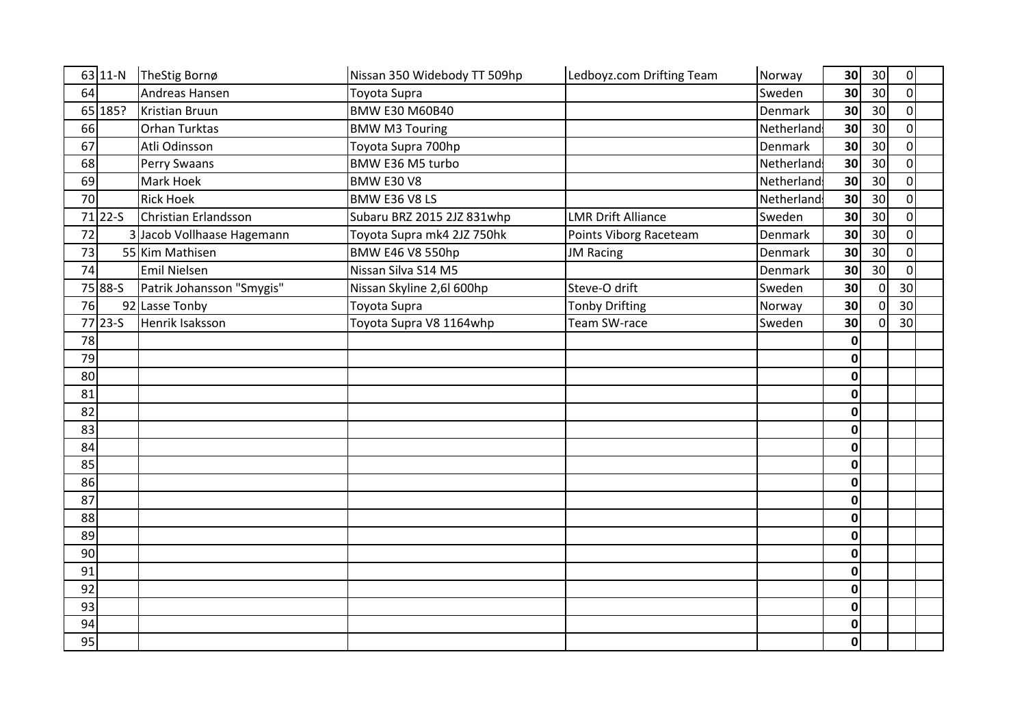| 63 11-N     | TheStig Bornø              | Nissan 350 Widebody TT 509hp | Ledboyz.com Drifting Team | Norway         | 30 <sub>l</sub> | 30              | $\overline{0}$  |  |
|-------------|----------------------------|------------------------------|---------------------------|----------------|-----------------|-----------------|-----------------|--|
| 64          | Andreas Hansen             | Toyota Supra                 |                           | Sweden         | 30 <sup>1</sup> | 30 <sup>1</sup> | $\Omega$        |  |
| 65 185?     | Kristian Bruun             | <b>BMW E30 M60B40</b>        |                           | Denmark        | 30 <sub>1</sub> | 30              | $\Omega$        |  |
| 66          | Orhan Turktas              | <b>BMW M3 Touring</b>        |                           | Netherland     | 30              | 30 <sup>1</sup> | $\Omega$        |  |
| 67          | Atli Odinsson              | Toyota Supra 700hp           |                           | <b>Denmark</b> | 30 <sup>1</sup> | 30 <sup>°</sup> | $\Omega$        |  |
| 68          | Perry Swaans               | BMW E36 M5 turbo             |                           | Netherland     | 30 <sup>1</sup> | 30 <sup>°</sup> | $\Omega$        |  |
| 69          | Mark Hoek                  | <b>BMW E30 V8</b>            |                           | Netherland     | 30              | 30 <sup>°</sup> | $\Omega$        |  |
| 70          | <b>Rick Hoek</b>           | BMW E36 V8 LS                |                           | Netherland     | 30 <sup>1</sup> | 30 <sup>°</sup> | $\Omega$        |  |
| 71 22-S     | Christian Erlandsson       | Subaru BRZ 2015 2JZ 831whp   | <b>LMR Drift Alliance</b> | Sweden         | 30 <sup>1</sup> | 30 <sup>°</sup> | $\Omega$        |  |
| 72          | 3 Jacob Vollhaase Hagemann | Toyota Supra mk4 2JZ 750hk   | Points Viborg Raceteam    | Denmark        | 30              | 30              | $\Omega$        |  |
| 73          | 55 Kim Mathisen            | BMW E46 V8 550hp             | <b>JM Racing</b>          | Denmark        | 30 <sup>1</sup> | 30 <sup>1</sup> | $\Omega$        |  |
| 74          | <b>Emil Nielsen</b>        | Nissan Silva S14 M5          |                           | Denmark        | 30 <sup>1</sup> | 30 <sup>°</sup> | $\Omega$        |  |
| 75 88-S     | Patrik Johansson "Smygis"  | Nissan Skyline 2,6l 600hp    | Steve-O drift             | Sweden         | 30 <sup>1</sup> | $\Omega$        | 30              |  |
| 76          | 92 Lasse Tonby             | Toyota Supra                 | <b>Tonby Drifting</b>     | Norway         | 30 <sup>1</sup> | $\overline{0}$  | 30              |  |
| $77$   23-5 | Henrik Isaksson            | Toyota Supra V8 1164whp      | Team SW-race              | Sweden         | 30 <sup>1</sup> | 0               | 30 <sup>1</sup> |  |
| 78          |                            |                              |                           |                | 0               |                 |                 |  |
| 79          |                            |                              |                           |                | $\Omega$        |                 |                 |  |
| 80          |                            |                              |                           |                | $\mathbf 0$     |                 |                 |  |
| 81          |                            |                              |                           |                | $\mathbf 0$     |                 |                 |  |
| 82          |                            |                              |                           |                | $\mathbf 0$     |                 |                 |  |
| 83          |                            |                              |                           |                | $\mathbf{0}$    |                 |                 |  |
| 84          |                            |                              |                           |                | $\Omega$        |                 |                 |  |
| 85          |                            |                              |                           |                | $\mathbf{0}$    |                 |                 |  |
| 86          |                            |                              |                           |                | $\mathbf{0}$    |                 |                 |  |
| 87          |                            |                              |                           |                | $\mathbf{0}$    |                 |                 |  |
| 88          |                            |                              |                           |                | $\Omega$        |                 |                 |  |
| 89          |                            |                              |                           |                | $\mathbf 0$     |                 |                 |  |
| 90          |                            |                              |                           |                | 0               |                 |                 |  |
| 91          |                            |                              |                           |                | $\mathbf{0}$    |                 |                 |  |
| 92          |                            |                              |                           |                | $\Omega$        |                 |                 |  |
| 93          |                            |                              |                           |                | $\mathbf 0$     |                 |                 |  |
| 94          |                            |                              |                           |                | 0               |                 |                 |  |
| 95          |                            |                              |                           |                | $\mathbf{0}$    |                 |                 |  |